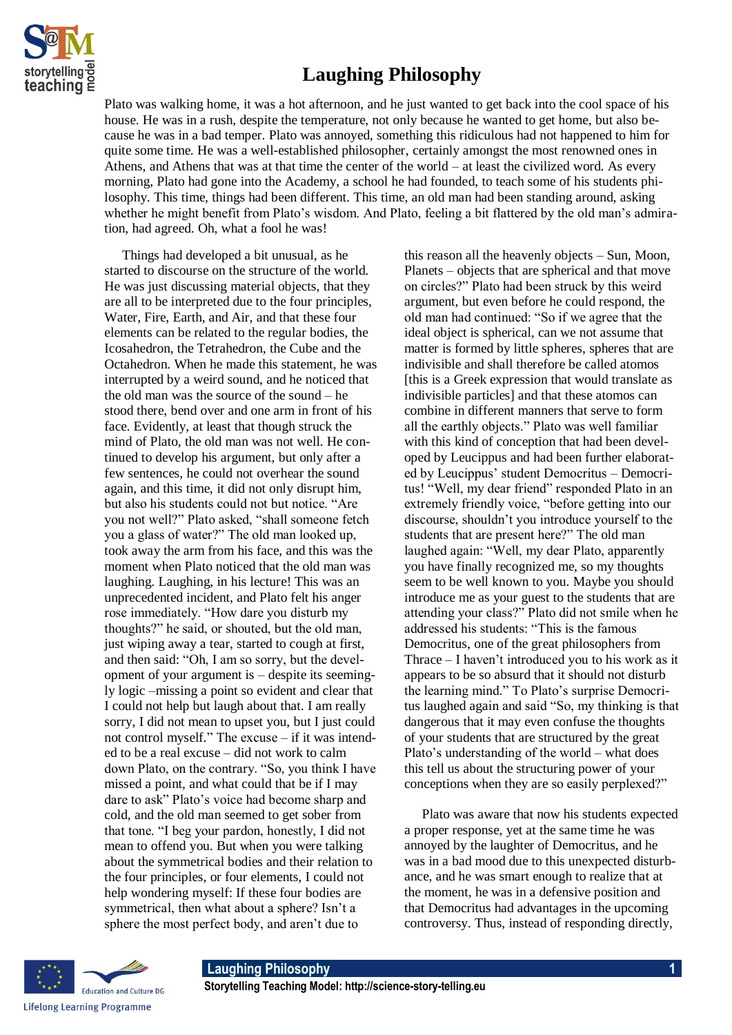

## **Laughing Philosophy**

Plato was walking home, it was a hot afternoon, and he just wanted to get back into the cool space of his house. He was in a rush, despite the temperature, not only because he wanted to get home, but also because he was in a bad temper. Plato was annoyed, something this ridiculous had not happened to him for quite some time. He was a well-established philosopher, certainly amongst the most renowned ones in Athens, and Athens that was at that time the center of the world – at least the civilized word. As every morning, Plato had gone into the Academy, a school he had founded, to teach some of his students philosophy. This time, things had been different. This time, an old man had been standing around, asking whether he might benefit from Plato's wisdom. And Plato, feeling a bit flattered by the old man's admiration, had agreed. Oh, what a fool he was!

Things had developed a bit unusual, as he started to discourse on the structure of the world. He was just discussing material objects, that they are all to be interpreted due to the four principles, Water, Fire, Earth, and Air, and that these four elements can be related to the regular bodies, the Icosahedron, the Tetrahedron, the Cube and the Octahedron. When he made this statement, he was interrupted by a weird sound, and he noticed that the old man was the source of the sound – he stood there, bend over and one arm in front of his face. Evidently, at least that though struck the mind of Plato, the old man was not well. He continued to develop his argument, but only after a few sentences, he could not overhear the sound again, and this time, it did not only disrupt him, but also his students could not but notice. "Are you not well?" Plato asked, "shall someone fetch you a glass of water?" The old man looked up, took away the arm from his face, and this was the moment when Plato noticed that the old man was laughing. Laughing, in his lecture! This was an unprecedented incident, and Plato felt his anger rose immediately. "How dare you disturb my thoughts?" he said, or shouted, but the old man, just wiping away a tear, started to cough at first, and then said: "Oh, I am so sorry, but the development of your argument is – despite its seemingly logic –missing a point so evident and clear that I could not help but laugh about that. I am really sorry, I did not mean to upset you, but I just could not control myself." The excuse – if it was intended to be a real excuse – did not work to calm down Plato, on the contrary. "So, you think I have missed a point, and what could that be if I may dare to ask" Plato's voice had become sharp and cold, and the old man seemed to get sober from that tone. "I beg your pardon, honestly, I did not mean to offend you. But when you were talking about the symmetrical bodies and their relation to the four principles, or four elements, I could not help wondering myself: If these four bodies are symmetrical, then what about a sphere? Isn't a sphere the most perfect body, and aren't due to

this reason all the heavenly objects – Sun, Moon, Planets – objects that are spherical and that move on circles?" Plato had been struck by this weird argument, but even before he could respond, the old man had continued: "So if we agree that the ideal object is spherical, can we not assume that matter is formed by little spheres, spheres that are indivisible and shall therefore be called atomos [this is a Greek expression that would translate as indivisible particles] and that these atomos can combine in different manners that serve to form all the earthly objects." Plato was well familiar with this kind of conception that had been developed by Leucippus and had been further elaborated by Leucippus' student Democritus – Democritus! "Well, my dear friend" responded Plato in an extremely friendly voice, "before getting into our discourse, shouldn't you introduce yourself to the students that are present here?" The old man laughed again: "Well, my dear Plato, apparently you have finally recognized me, so my thoughts seem to be well known to you. Maybe you should introduce me as your guest to the students that are attending your class?" Plato did not smile when he addressed his students: "This is the famous Democritus, one of the great philosophers from Thrace – I haven't introduced you to his work as it appears to be so absurd that it should not disturb the learning mind." To Plato's surprise Democritus laughed again and said "So, my thinking is that dangerous that it may even confuse the thoughts of your students that are structured by the great Plato's understanding of the world – what does this tell us about the structuring power of your conceptions when they are so easily perplexed?"

Plato was aware that now his students expected a proper response, yet at the same time he was annoyed by the laughter of Democritus, and he was in a bad mood due to this unexpected disturbance, and he was smart enough to realize that at the moment, he was in a defensive position and that Democritus had advantages in the upcoming controversy. Thus, instead of responding directly,

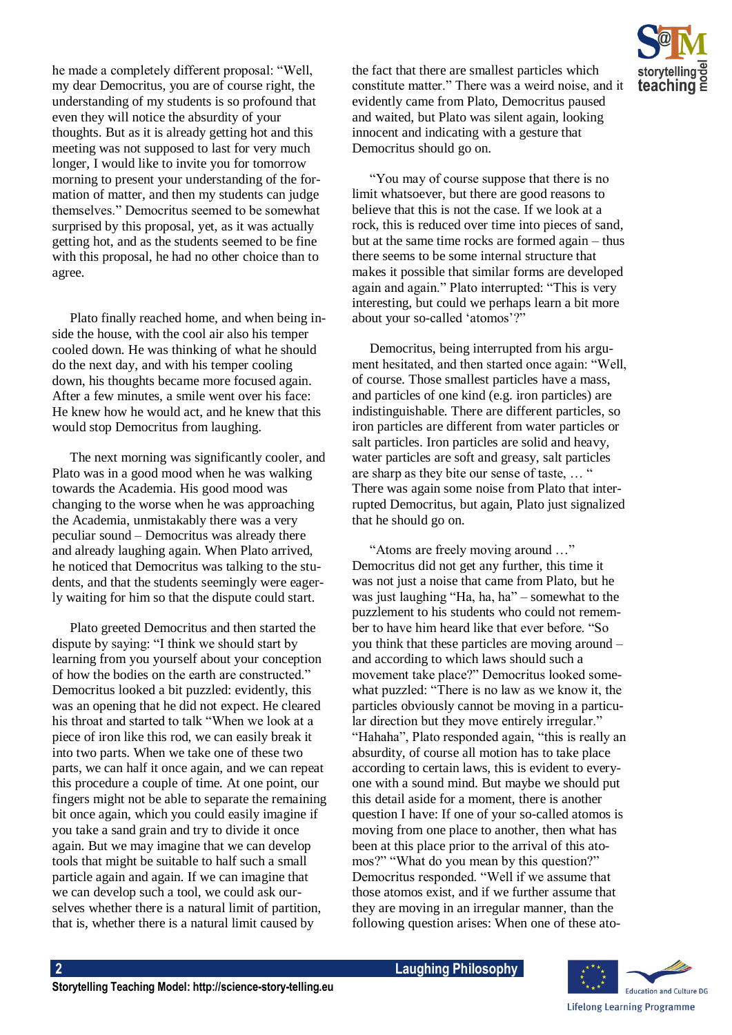he made a completely different proposal: "Well, my dear Democritus, you are of course right, the understanding of my students is so profound that even they will notice the absurdity of your thoughts. But as it is already getting hot and this meeting was not supposed to last for very much longer, I would like to invite you for tomorrow morning to present your understanding of the formation of matter, and then my students can judge themselves." Democritus seemed to be somewhat surprised by this proposal, yet, as it was actually getting hot, and as the students seemed to be fine with this proposal, he had no other choice than to agree.

Plato finally reached home, and when being inside the house, with the cool air also his temper cooled down. He was thinking of what he should do the next day, and with his temper cooling down, his thoughts became more focused again. After a few minutes, a smile went over his face: He knew how he would act, and he knew that this would stop Democritus from laughing.

The next morning was significantly cooler, and Plato was in a good mood when he was walking towards the Academia. His good mood was changing to the worse when he was approaching the Academia, unmistakably there was a very peculiar sound – Democritus was already there and already laughing again. When Plato arrived, he noticed that Democritus was talking to the students, and that the students seemingly were eagerly waiting for him so that the dispute could start.

Plato greeted Democritus and then started the dispute by saying: "I think we should start by learning from you yourself about your conception of how the bodies on the earth are constructed." Democritus looked a bit puzzled: evidently, this was an opening that he did not expect. He cleared his throat and started to talk "When we look at a piece of iron like this rod, we can easily break it into two parts. When we take one of these two parts, we can half it once again, and we can repeat this procedure a couple of time. At one point, our fingers might not be able to separate the remaining bit once again, which you could easily imagine if you take a sand grain and try to divide it once again. But we may imagine that we can develop tools that might be suitable to half such a small particle again and again. If we can imagine that we can develop such a tool, we could ask ourselves whether there is a natural limit of partition, that is, whether there is a natural limit caused by

the fact that there are smallest particles which constitute matter." There was a weird noise, and it evidently came from Plato, Democritus paused and waited, but Plato was silent again, looking innocent and indicating with a gesture that Democritus should go on.

"You may of course suppose that there is no limit whatsoever, but there are good reasons to believe that this is not the case. If we look at a rock, this is reduced over time into pieces of sand, but at the same time rocks are formed again – thus there seems to be some internal structure that makes it possible that similar forms are developed again and again." Plato interrupted: "This is very interesting, but could we perhaps learn a bit more about your so-called 'atomos'?"

Democritus, being interrupted from his argument hesitated, and then started once again: "Well, of course. Those smallest particles have a mass, and particles of one kind (e.g. iron particles) are indistinguishable. There are different particles, so iron particles are different from water particles or salt particles. Iron particles are solid and heavy, water particles are soft and greasy, salt particles are sharp as they bite our sense of taste, … " There was again some noise from Plato that interrupted Democritus, but again, Plato just signalized that he should go on.

"Atoms are freely moving around …" Democritus did not get any further, this time it was not just a noise that came from Plato, but he was just laughing "Ha, ha, ha" – somewhat to the puzzlement to his students who could not remember to have him heard like that ever before. "So you think that these particles are moving around – and according to which laws should such a movement take place?" Democritus looked somewhat puzzled: "There is no law as we know it, the particles obviously cannot be moving in a particular direction but they move entirely irregular." "Hahaha", Plato responded again, "this is really an absurdity, of course all motion has to take place according to certain laws, this is evident to everyone with a sound mind. But maybe we should put this detail aside for a moment, there is another question I have: If one of your so-called atomos is moving from one place to another, then what has been at this place prior to the arrival of this atomos?" "What do you mean by this question?" Democritus responded. "Well if we assume that those atomos exist, and if we further assume that they are moving in an irregular manner, than the following question arises: When one of these ato-



**2 Laughing Philosophy**